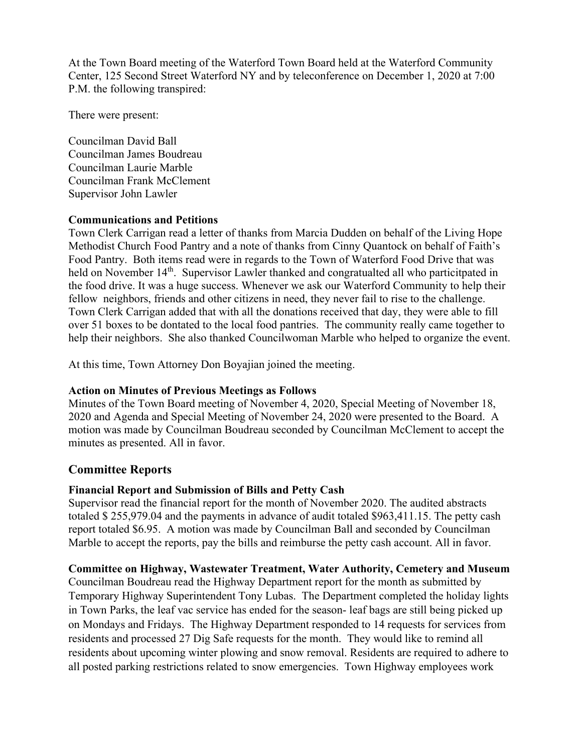At the Town Board meeting of the Waterford Town Board held at the Waterford Community Center, 125 Second Street Waterford NY and by teleconference on December 1, 2020 at 7:00 P.M. the following transpired:

There were present:

Councilman David Ball Councilman James Boudreau Councilman Laurie Marble Councilman Frank McClement Supervisor John Lawler

#### **Communications and Petitions**

Town Clerk Carrigan read a letter of thanks from Marcia Dudden on behalf of the Living Hope Methodist Church Food Pantry and a note of thanks from Cinny Quantock on behalf of Faith's Food Pantry. Both items read were in regards to the Town of Waterford Food Drive that was held on November 14<sup>th</sup>. Supervisor Lawler thanked and congratualted all who particitpated in the food drive. It was a huge success. Whenever we ask our Waterford Community to help their fellow neighbors, friends and other citizens in need, they never fail to rise to the challenge. Town Clerk Carrigan added that with all the donations received that day, they were able to fill over 51 boxes to be dontated to the local food pantries. The community really came together to help their neighbors. She also thanked Councilwoman Marble who helped to organize the event.

At this time, Town Attorney Don Boyajian joined the meeting.

## **Action on Minutes of Previous Meetings as Follows**

Minutes of the Town Board meeting of November 4, 2020, Special Meeting of November 18, 2020 and Agenda and Special Meeting of November 24, 2020 were presented to the Board. A motion was made by Councilman Boudreau seconded by Councilman McClement to accept the minutes as presented. All in favor.

# **Committee Reports**

## **Financial Report and Submission of Bills and Petty Cash**

Supervisor read the financial report for the month of November 2020. The audited abstracts totaled \$ 255,979.04 and the payments in advance of audit totaled \$963,411.15. The petty cash report totaled \$6.95. A motion was made by Councilman Ball and seconded by Councilman Marble to accept the reports, pay the bills and reimburse the petty cash account. All in favor.

## **Committee on Highway, Wastewater Treatment, Water Authority, Cemetery and Museum**

Councilman Boudreau read the Highway Department report for the month as submitted by Temporary Highway Superintendent Tony Lubas. The Department completed the holiday lights in Town Parks, the leaf vac service has ended for the season- leaf bags are still being picked up on Mondays and Fridays. The Highway Department responded to 14 requests for services from residents and processed 27 Dig Safe requests for the month. They would like to remind all residents about upcoming winter plowing and snow removal. Residents are required to adhere to all posted parking restrictions related to snow emergencies. Town Highway employees work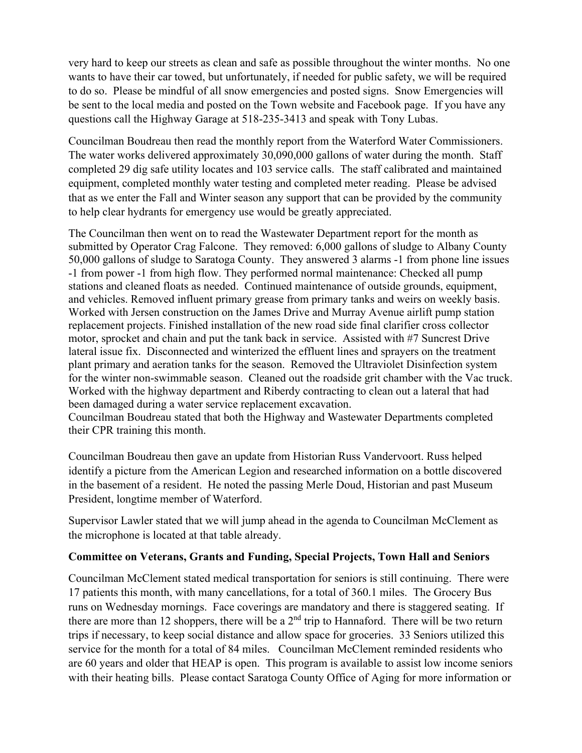very hard to keep our streets as clean and safe as possible throughout the winter months. No one wants to have their car towed, but unfortunately, if needed for public safety, we will be required to do so. Please be mindful of all snow emergencies and posted signs. Snow Emergencies will be sent to the local media and posted on the Town website and Facebook page. If you have any questions call the Highway Garage at 518-235-3413 and speak with Tony Lubas.

Councilman Boudreau then read the monthly report from the Waterford Water Commissioners. The water works delivered approximately 30,090,000 gallons of water during the month. Staff completed 29 dig safe utility locates and 103 service calls. The staff calibrated and maintained equipment, completed monthly water testing and completed meter reading. Please be advised that as we enter the Fall and Winter season any support that can be provided by the community to help clear hydrants for emergency use would be greatly appreciated.

The Councilman then went on to read the Wastewater Department report for the month as submitted by Operator Crag Falcone. They removed: 6,000 gallons of sludge to Albany County 50,000 gallons of sludge to Saratoga County. They answered 3 alarms -1 from phone line issues -1 from power -1 from high flow. They performed normal maintenance: Checked all pump stations and cleaned floats as needed. Continued maintenance of outside grounds, equipment, and vehicles. Removed influent primary grease from primary tanks and weirs on weekly basis. Worked with Jersen construction on the James Drive and Murray Avenue airlift pump station replacement projects. Finished installation of the new road side final clarifier cross collector motor, sprocket and chain and put the tank back in service. Assisted with #7 Suncrest Drive lateral issue fix. Disconnected and winterized the effluent lines and sprayers on the treatment plant primary and aeration tanks for the season. Removed the Ultraviolet Disinfection system for the winter non-swimmable season. Cleaned out the roadside grit chamber with the Vac truck. Worked with the highway department and Riberdy contracting to clean out a lateral that had been damaged during a water service replacement excavation.

Councilman Boudreau stated that both the Highway and Wastewater Departments completed their CPR training this month.

Councilman Boudreau then gave an update from Historian Russ Vandervoort. Russ helped identify a picture from the American Legion and researched information on a bottle discovered in the basement of a resident. He noted the passing Merle Doud, Historian and past Museum President, longtime member of Waterford.

Supervisor Lawler stated that we will jump ahead in the agenda to Councilman McClement as the microphone is located at that table already.

## **Committee on Veterans, Grants and Funding, Special Projects, Town Hall and Seniors**

Councilman McClement stated medical transportation for seniors is still continuing. There were 17 patients this month, with many cancellations, for a total of 360.1 miles. The Grocery Bus runs on Wednesday mornings. Face coverings are mandatory and there is staggered seating. If there are more than 12 shoppers, there will be a  $2<sup>nd</sup>$  trip to Hannaford. There will be two return trips if necessary, to keep social distance and allow space for groceries. 33 Seniors utilized this service for the month for a total of 84 miles. Councilman McClement reminded residents who are 60 years and older that HEAP is open. This program is available to assist low income seniors with their heating bills. Please contact Saratoga County Office of Aging for more information or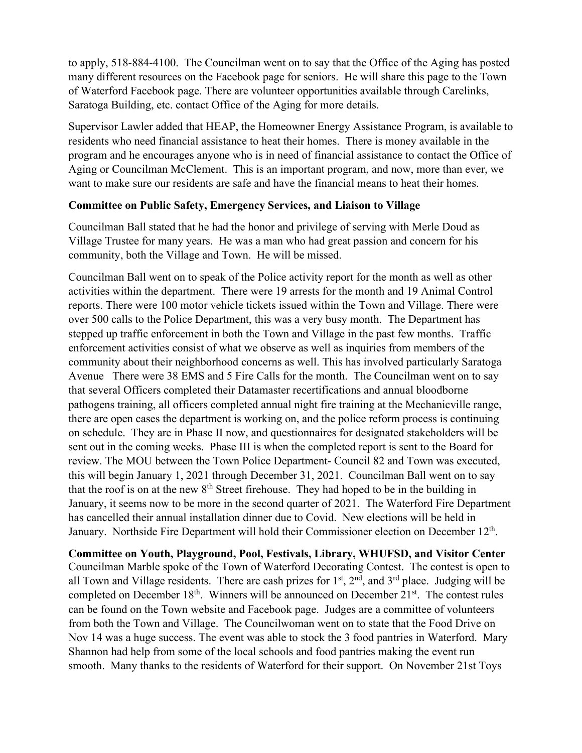to apply, 518-884-4100. The Councilman went on to say that the Office of the Aging has posted many different resources on the Facebook page for seniors. He will share this page to the Town of Waterford Facebook page. There are volunteer opportunities available through Carelinks, Saratoga Building, etc. contact Office of the Aging for more details.

Supervisor Lawler added that HEAP, the Homeowner Energy Assistance Program, is available to residents who need financial assistance to heat their homes. There is money available in the program and he encourages anyone who is in need of financial assistance to contact the Office of Aging or Councilman McClement. This is an important program, and now, more than ever, we want to make sure our residents are safe and have the financial means to heat their homes.

#### **Committee on Public Safety, Emergency Services, and Liaison to Village**

Councilman Ball stated that he had the honor and privilege of serving with Merle Doud as Village Trustee for many years. He was a man who had great passion and concern for his community, both the Village and Town. He will be missed.

Councilman Ball went on to speak of the Police activity report for the month as well as other activities within the department. There were 19 arrests for the month and 19 Animal Control reports. There were 100 motor vehicle tickets issued within the Town and Village. There were over 500 calls to the Police Department, this was a very busy month. The Department has stepped up traffic enforcement in both the Town and Village in the past few months. Traffic enforcement activities consist of what we observe as well as inquiries from members of the community about their neighborhood concerns as well. This has involved particularly Saratoga Avenue There were 38 EMS and 5 Fire Calls for the month. The Councilman went on to say that several Officers completed their Datamaster recertifications and annual bloodborne pathogens training, all officers completed annual night fire training at the Mechanicville range, there are open cases the department is working on, and the police reform process is continuing on schedule. They are in Phase II now, and questionnaires for designated stakeholders will be sent out in the coming weeks. Phase III is when the completed report is sent to the Board for review. The MOU between the Town Police Department- Council 82 and Town was executed, this will begin January 1, 2021 through December 31, 2021. Councilman Ball went on to say that the roof is on at the new 8<sup>th</sup> Street firehouse. They had hoped to be in the building in January, it seems now to be more in the second quarter of 2021. The Waterford Fire Department has cancelled their annual installation dinner due to Covid. New elections will be held in January. Northside Fire Department will hold their Commissioner election on December 12th.

**Committee on Youth, Playground, Pool, Festivals, Library, WHUFSD, and Visitor Center** Councilman Marble spoke of the Town of Waterford Decorating Contest. The contest is open to all Town and Village residents. There are cash prizes for  $1<sup>st</sup>$ ,  $2<sup>nd</sup>$ , and  $3<sup>rd</sup>$  place. Judging will be completed on December 18<sup>th</sup>. Winners will be announced on December 21<sup>st</sup>. The contest rules can be found on the Town website and Facebook page. Judges are a committee of volunteers from both the Town and Village. The Councilwoman went on to state that the Food Drive on Nov 14 was a huge success. The event was able to stock the 3 food pantries in Waterford. Mary Shannon had help from some of the local schools and food pantries making the event run smooth. Many thanks to the residents of Waterford for their support. On November 21st Toys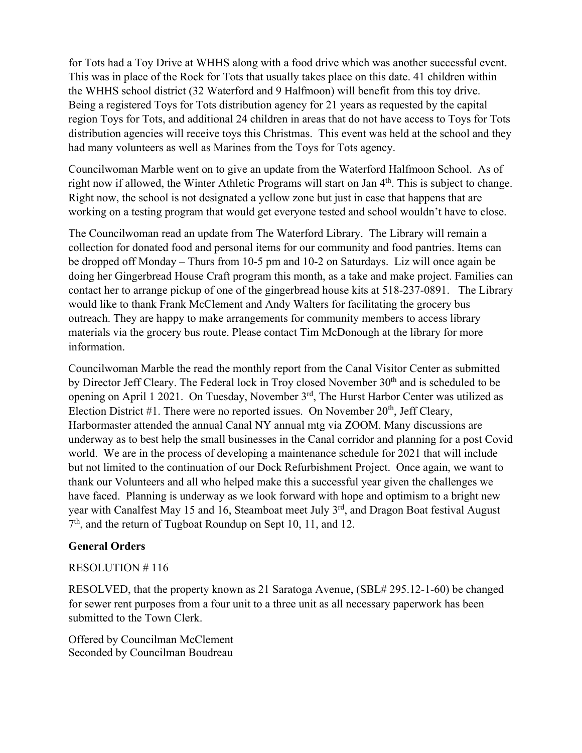for Tots had a Toy Drive at WHHS along with a food drive which was another successful event. This was in place of the Rock for Tots that usually takes place on this date. 41 children within the WHHS school district (32 Waterford and 9 Halfmoon) will benefit from this toy drive. Being a registered Toys for Tots distribution agency for 21 years as requested by the capital region Toys for Tots, and additional 24 children in areas that do not have access to Toys for Tots distribution agencies will receive toys this Christmas. This event was held at the school and they had many volunteers as well as Marines from the Toys for Tots agency.

Councilwoman Marble went on to give an update from the Waterford Halfmoon School. As of right now if allowed, the Winter Athletic Programs will start on Jan 4<sup>th</sup>. This is subject to change. Right now, the school is not designated a yellow zone but just in case that happens that are working on a testing program that would get everyone tested and school wouldn't have to close.

The Councilwoman read an update from The Waterford Library. The Library will remain a collection for donated food and personal items for our community and food pantries. Items can be dropped off Monday – Thurs from 10-5 pm and 10-2 on Saturdays. Liz will once again be doing her Gingerbread House Craft program this month, as a take and make project. Families can contact her to arrange pickup of one of the gingerbread house kits at 518-237-0891. The Library would like to thank Frank McClement and Andy Walters for facilitating the grocery bus outreach. They are happy to make arrangements for community members to access library materials via the grocery bus route. Please contact Tim McDonough at the library for more information.

Councilwoman Marble the read the monthly report from the Canal Visitor Center as submitted by Director Jeff Cleary. The Federal lock in Troy closed November 30<sup>th</sup> and is scheduled to be opening on April 1 2021. On Tuesday, November 3rd, The Hurst Harbor Center was utilized as Election District #1. There were no reported issues. On November  $20<sup>th</sup>$ , Jeff Cleary, Harbormaster attended the annual Canal NY annual mtg via ZOOM. Many discussions are underway as to best help the small businesses in the Canal corridor and planning for a post Covid world. We are in the process of developing a maintenance schedule for 2021 that will include but not limited to the continuation of our Dock Refurbishment Project. Once again, we want to thank our Volunteers and all who helped make this a successful year given the challenges we have faced. Planning is underway as we look forward with hope and optimism to a bright new year with Canalfest May 15 and 16, Steamboat meet July 3<sup>rd</sup>, and Dragon Boat festival August  $7<sup>th</sup>$ , and the return of Tugboat Roundup on Sept 10, 11, and 12.

## **General Orders**

#### RESOLUTION # 116

RESOLVED, that the property known as 21 Saratoga Avenue, (SBL# 295.12-1-60) be changed for sewer rent purposes from a four unit to a three unit as all necessary paperwork has been submitted to the Town Clerk.

Offered by Councilman McClement Seconded by Councilman Boudreau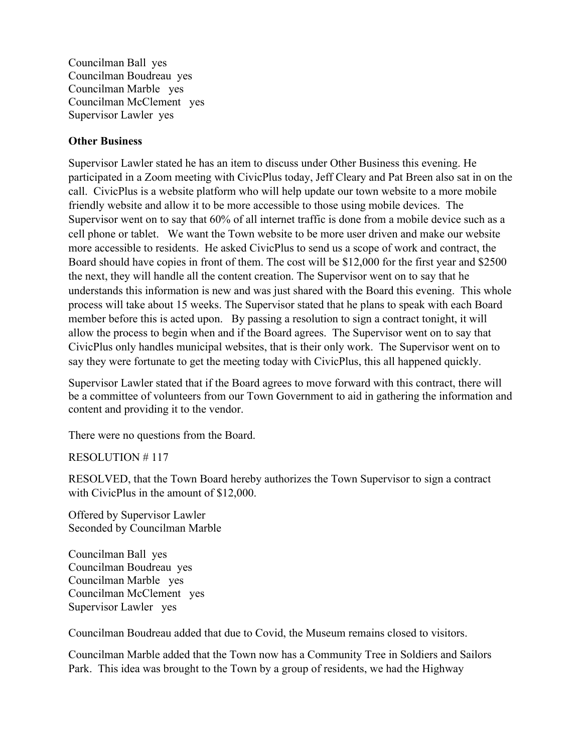Councilman Ball yes Councilman Boudreau yes Councilman Marble yes Councilman McClement yes Supervisor Lawler yes

#### **Other Business**

Supervisor Lawler stated he has an item to discuss under Other Business this evening. He participated in a Zoom meeting with CivicPlus today, Jeff Cleary and Pat Breen also sat in on the call. CivicPlus is a website platform who will help update our town website to a more mobile friendly website and allow it to be more accessible to those using mobile devices. The Supervisor went on to say that 60% of all internet traffic is done from a mobile device such as a cell phone or tablet. We want the Town website to be more user driven and make our website more accessible to residents. He asked CivicPlus to send us a scope of work and contract, the Board should have copies in front of them. The cost will be \$12,000 for the first year and \$2500 the next, they will handle all the content creation. The Supervisor went on to say that he understands this information is new and was just shared with the Board this evening. This whole process will take about 15 weeks. The Supervisor stated that he plans to speak with each Board member before this is acted upon. By passing a resolution to sign a contract tonight, it will allow the process to begin when and if the Board agrees. The Supervisor went on to say that CivicPlus only handles municipal websites, that is their only work. The Supervisor went on to say they were fortunate to get the meeting today with CivicPlus, this all happened quickly.

Supervisor Lawler stated that if the Board agrees to move forward with this contract, there will be a committee of volunteers from our Town Government to aid in gathering the information and content and providing it to the vendor.

There were no questions from the Board.

RESOLUTION # 117

RESOLVED, that the Town Board hereby authorizes the Town Supervisor to sign a contract with CivicPlus in the amount of \$12,000.

Offered by Supervisor Lawler Seconded by Councilman Marble

Councilman Ball yes Councilman Boudreau yes Councilman Marble yes Councilman McClement yes Supervisor Lawler yes

Councilman Boudreau added that due to Covid, the Museum remains closed to visitors.

Councilman Marble added that the Town now has a Community Tree in Soldiers and Sailors Park. This idea was brought to the Town by a group of residents, we had the Highway